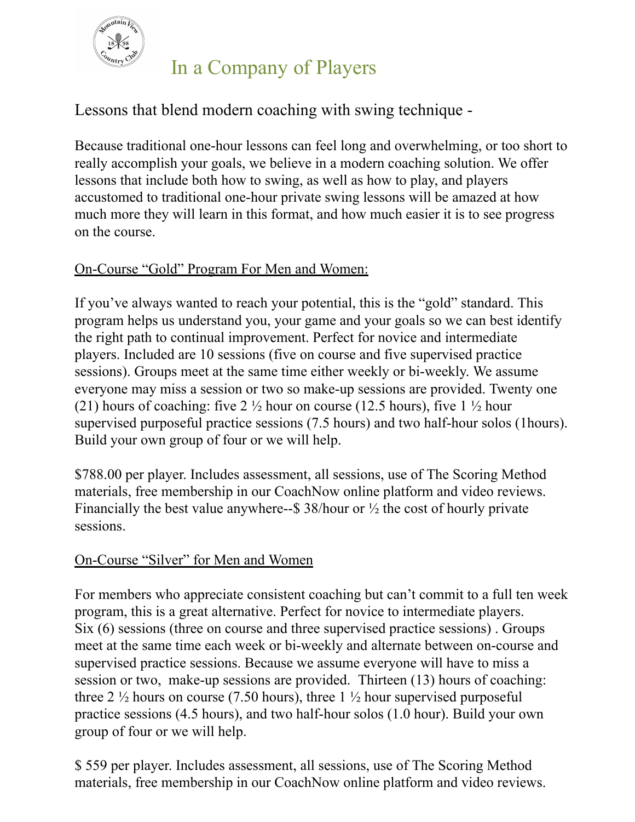

# In a Company of Players

## Lessons that blend modern coaching with swing technique -

Because traditional one-hour lessons can feel long and overwhelming, or too short to really accomplish your goals, we believe in a modern coaching solution. We offer lessons that include both how to swing, as well as how to play, and players accustomed to traditional one-hour private swing lessons will be amazed at how much more they will learn in this format, and how much easier it is to see progress on the course.

### On-Course "Gold" Program For Men and Women:

If you've always wanted to reach your potential, this is the "gold" standard. This program helps us understand you, your game and your goals so we can best identify the right path to continual improvement. Perfect for novice and intermediate players. Included are 10 sessions (five on course and five supervised practice sessions). Groups meet at the same time either weekly or bi-weekly. We assume everyone may miss a session or two so make-up sessions are provided. Twenty one (21) hours of coaching: five 2  $\frac{1}{2}$  hour on course (12.5 hours), five 1  $\frac{1}{2}$  hour supervised purposeful practice sessions (7.5 hours) and two half-hour solos (1hours). Build your own group of four or we will help.

\$788.00 per player. Includes assessment, all sessions, use of The Scoring Method materials, free membership in our CoachNow online platform and video reviews. Financially the best value anywhere--\$ 38/hour or  $\frac{1}{2}$  the cost of hourly private sessions.

#### On-Course "Silver" for Men and Women

For members who appreciate consistent coaching but can't commit to a full ten week program, this is a great alternative. Perfect for novice to intermediate players. Six (6) sessions (three on course and three supervised practice sessions) . Groups meet at the same time each week or bi-weekly and alternate between on-course and supervised practice sessions. Because we assume everyone will have to miss a session or two, make-up sessions are provided. Thirteen (13) hours of coaching: three 2  $\frac{1}{2}$  hours on course (7.50 hours), three 1  $\frac{1}{2}$  hour supervised purposeful practice sessions (4.5 hours), and two half-hour solos (1.0 hour). Build your own group of four or we will help.

\$ 559 per player. Includes assessment, all sessions, use of The Scoring Method materials, free membership in our CoachNow online platform and video reviews.